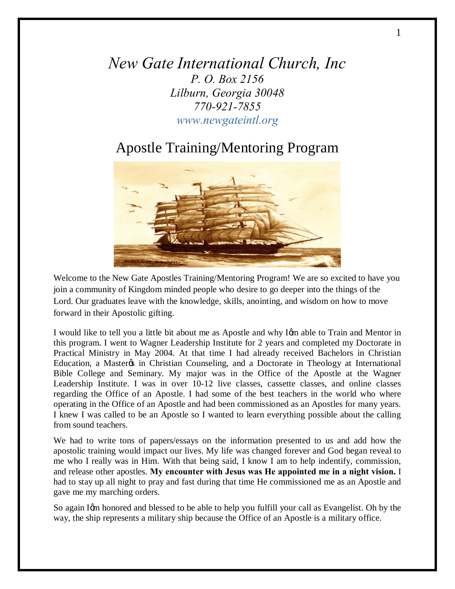*New Gate International Church, Inc P. O. Box 2156 Lilburn, Georgia 30048 770-921-7855 www.newgateintl.org*

# Apostle Training/Mentoring Program



Welcome to the New Gate Apostles Training/Mentoring Program! We are so excited to have you join a community of Kingdom minded people who desire to go deeper into the things of the Lord. Our graduates leave with the knowledge, skills, anointing, and wisdom on how to move forward in their Apostolic gifting.

I would like to tell you a little bit about me as Apostle and why Igm able to Train and Mentor in this program. I went to Wagner Leadership Institute for 2 years and completed my Doctorate in Practical Ministry in May 2004. At that time I had already received Bachelors in Christian Education, a Master in Christian Counseling, and a Doctorate in Theology at International Bible College and Seminary. My major was in the Office of the Apostle at the Wagner Leadership Institute. I was in over 10-12 live classes, cassette classes, and online classes regarding the Office of an Apostle. I had some of the best teachers in the world who where operating in the Office of an Apostle and had been commissioned as an Apostles for many years. I knew I was called to be an Apostle so I wanted to learn everything possible about the calling from sound teachers.

We had to write tons of papers/essays on the information presented to us and add how the apostolic training would impact our lives. My life was changed forever and God began reveal to me who I really was in Him. With that being said, I know I am to help indentify, commission, and release other apostles. **My encounter with Jesus was He appointed me in a night vision.** I had to stay up all night to pray and fast during that time He commissioned me as an Apostle and gave me my marching orders.

So again Igm honored and blessed to be able to help you fulfill your call as Evangelist. Oh by the way, the ship represents a military ship because the Office of an Apostle is a military office.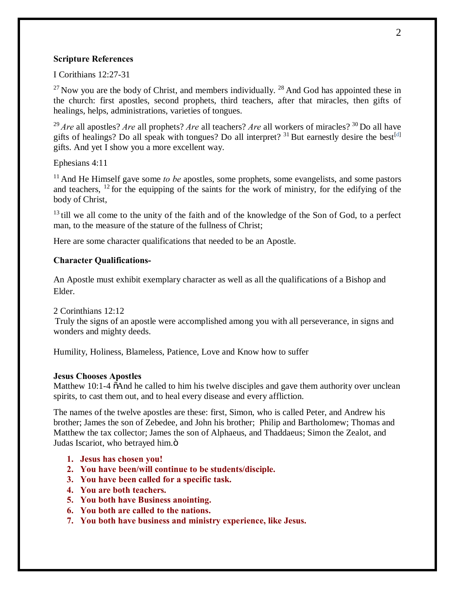#### **Scripture References**

I Corithians 12:27-31

 $^{27}$  Now you are the body of Christ, and members individually.  $^{28}$  And God has appointed these in the church: first apostles, second prophets, third teachers, after that miracles, then gifts of healings, helps, administrations, varieties of tongues.

<sup>29</sup> *Are* all apostles? *Are* all prophets? *Are* all teachers? *Are* all workers of miracles? <sup>30</sup> Do all have gifts of healings? Do all speak with tongues? Do all interpret?  $31$  But earnestly desire the best<sup>[d]</sup> gifts. And yet I show you a more excellent way.

Ephesians 4:11

<sup>11</sup> And He Himself gave some *to be* apostles, some prophets, some evangelists, and some pastors and teachers,  $^{12}$  for the equipping of the saints for the work of ministry, for the edifying of the body of Christ,

 $13$  till we all come to the unity of the faith and of the knowledge of the Son of God, to a perfect man, to the measure of the stature of the fullness of Christ;

Here are some character qualifications that needed to be an Apostle.

#### **Character Qualifications-**

An Apostle must exhibit exemplary character as well as all the qualifications of a Bishop and Elder.

2 Corinthians 12:12

Truly the signs of an apostle were accomplished among you with all perseverance, in signs and wonders and mighty deeds.

Humility, Holiness, Blameless, Patience, Love and Know how to suffer

#### **Jesus Chooses Apostles**

Matthew 10:1-4  $\ddot{\text{o}}$ And he called to him his twelve disciples and gave them authority over unclean spirits, to cast them out, and to heal every disease and every affliction.

The names of the twelve apostles are these: first, Simon, who is called Peter, and Andrew his brother; James the son of Zebedee, and John his brother; Philip and Bartholomew; Thomas and Matthew the tax collector; James the son of Alphaeus, and Thaddaeus; Simon the Zealot, and Judas Iscariot, who betrayed him.ö

- **1. Jesus has chosen you!**
- **2. You have been/will continue to be students/disciple.**
- **3. You have been called for a specific task.**
- **4. You are both teachers.**
- **5. You both have Business anointing.**
- **6. You both are called to the nations.**
- **7. You both have business and ministry experience, like Jesus.**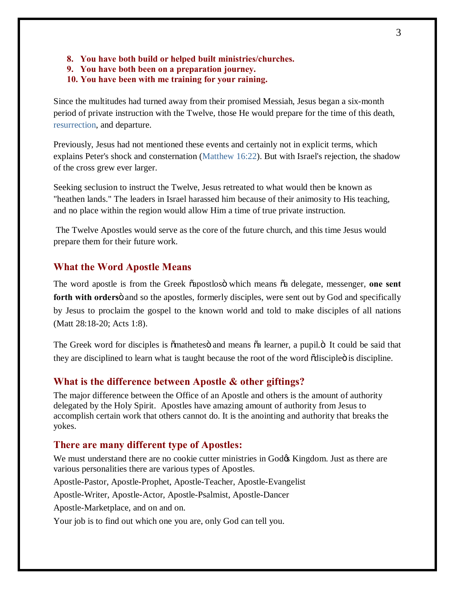- **8. You have both build or helped built ministries/churches.**
- **9. You have both been on a preparation journey.**
- **10. You have been with me training for your raining.**

Since the multitudes had turned away from their promised Messiah, Jesus began a six-month period of private instruction with the Twelve, those He would prepare for the time of this death, resurrection, and departure.

Previously, Jesus had not mentioned these events and certainly not in explicit terms, which explains Peter's shock and consternation (Matthew 16:22). But with Israel's rejection, the shadow of the cross grew ever larger.

Seeking seclusion to instruct the Twelve, Jesus retreated to what would then be known as "heathen lands." The leaders in Israel harassed him because of their animosity to His teaching, and no place within the region would allow Him a time of true private instruction.

The Twelve Apostles would serve as the core of the future church, and this time Jesus would prepare them for their future work.

#### **What the Word Apostle Means**

The word apostle is from the Greek  $\tilde{\alpha}$  apostloso which means  $\tilde{\alpha}$  delegate, messenger, one sent forth with orders<sub>o</sub> and so the apostles, formerly disciples, were sent out by God and specifically by Jesus to proclaim the gospel to the known world and told to make disciples of all nations (Matt 28:18-20; Acts 1:8).

The Greek word for disciples is  $\ddot{\text{om}}$  athetes and means  $\ddot{\text{a}}$  learner, a pupil. $\ddot{\text{o}}$  It could be said that they are disciplined to learn what is taught because the root of the word  $\tilde{c}$  disciple  $\ddot{o}$  is discipline.

#### **What is the difference between Apostle & other giftings?**

The major difference between the Office of an Apostle and others is the amount of authority delegated by the Holy Spirit. Apostles have amazing amount of authority from Jesus to accomplish certain work that others cannot do. It is the anointing and authority that breaks the yokes.

#### **There are many different type of Apostles:**

We must understand there are no cookie cutter ministries in Godos Kingdom. Just as there are various personalities there are various types of Apostles.

Apostle-Pastor, Apostle-Prophet, Apostle-Teacher, Apostle-Evangelist

Apostle-Writer, Apostle-Actor, Apostle-Psalmist, Apostle-Dancer

Apostle-Marketplace, and on and on.

Your job is to find out which one you are, only God can tell you.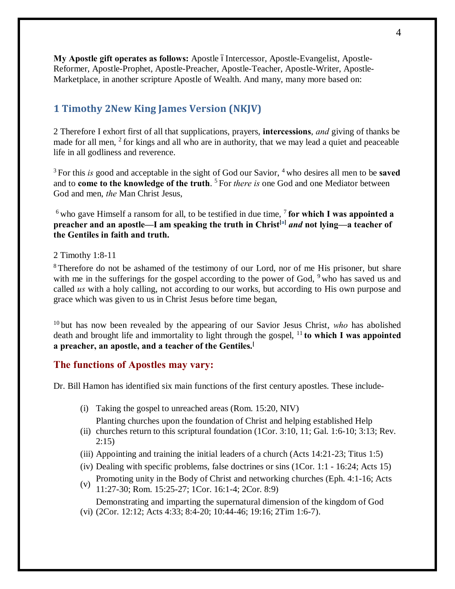**My Apostle gift operates as follows:** Apostle –Intercessor, Apostle-Evangelist, Apostle-Reformer, Apostle-Prophet, Apostle-Preacher, Apostle-Teacher, Apostle-Writer, Apostle-Marketplace, in another scripture Apostle of Wealth. And many, many more based on:

# **1 Timothy 2New King James Version (NKJV)**

2 Therefore I exhort first of all that supplications, prayers, **intercessions**, *and* giving of thanks be made for all men, <sup>2</sup> for kings and all who are in authority, that we may lead a quiet and peaceable life in all godliness and reverence.

<sup>3</sup> For this *is* good and acceptable in the sight of God our Savior, <sup>4</sup> who desires all men to be **saved** and to **come to the knowledge of the truth**. <sup>5</sup> For *there is* one God and one Mediator between God and men, *the* Man Christ Jesus,

 $6$  who gave Himself a ransom for all, to be testified in due time,  $7$  for which I was appointed a **preacher and an apostle—I am speaking the truth in Christ[a]** *and* **not lying—a teacher of the Gentiles in faith and truth.**

#### 2 Timothy 1:8-11

<sup>8</sup> Therefore do not be ashamed of the testimony of our Lord, nor of me His prisoner, but share with me in the sufferings for the gospel according to the power of God, <sup>9</sup> who has saved us and called *us* with a holy calling, not according to our works, but according to His own purpose and grace which was given to us in Christ Jesus before time began,

<sup>10</sup> but has now been revealed by the appearing of our Savior Jesus Christ, *who* has abolished death and brought life and immortality to light through the gospel, <sup>11</sup> **to which I was appointed a preacher, an apostle, and a teacher of the Gentiles.[**

### **The functions of Apostles may vary:**

Dr. Bill Hamon has identified six main functions of the first century apostles. These include-

(i) Taking the gospel to unreached areas (Rom. 15:20, NIV)

Planting churches upon the foundation of Christ and helping established Help

- (ii) churches return to this scriptural foundation (1Cor. 3:10, 11; Gal. 1:6-10; 3:13; Rev. 2:15)
- (iii) Appointing and training the initial leaders of a church (Acts 14:21-23; Titus 1:5)
- (iv) Dealing with specific problems, false doctrines or sins (1Cor. 1:1 16:24; Acts 15)
- (v) Promoting unity in the Body of Christ and networking churches (Eph. 4:1-16; Acts 11:27-30; Rom. 15:25-27; 1Cor. 16:1-4; 2Cor. 8:9)

(vi) (2Cor. 12:12; Acts 4:33; 8:4-20; 10:44-46; 19:16; 2Tim 1:6-7). Demonstrating and imparting the supernatural dimension of the kingdom of God